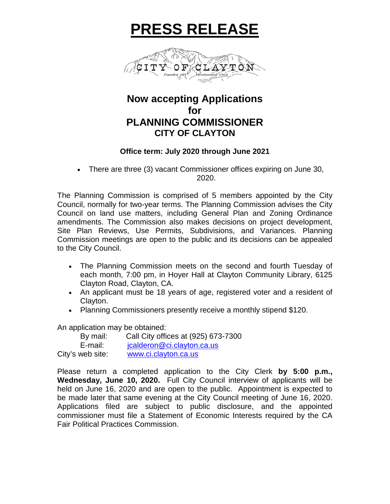# **PRESS RELEASE**



## **Now accepting Applications for PLANNING COMMISSIONER CITY OF CLAYTON**

#### **Office term: July 2020 through June 2021**

• There are three (3) vacant Commissioner offices expiring on June 30, 2020.

The Planning Commission is comprised of 5 members appointed by the City Council, normally for two-year terms. The Planning Commission advises the City Council on land use matters, including General Plan and Zoning Ordinance amendments. The Commission also makes decisions on project development, Site Plan Reviews, Use Permits, Subdivisions, and Variances. Planning Commission meetings are open to the public and its decisions can be appealed to the City Council.

- The Planning Commission meets on the second and fourth Tuesday of each month, 7:00 pm, in Hoyer Hall at Clayton Community Library, 6125 Clayton Road, Clayton, CA.
- An applicant must be 18 years of age, registered voter and a resident of Clayton.
- Planning Commissioners presently receive a monthly stipend \$120.

An application may be obtained:

| By mail:         | Call City offices at (925) 673-7300 |
|------------------|-------------------------------------|
| E-mail:          | jcalderon@ci.clayton.ca.us          |
| City's web site: | www.ci.clayton.ca.us                |

Please return a completed application to the City Clerk **by 5:00 p.m., Wednesday, June 10, 2020.** Full City Council interview of applicants will be held on June 16, 2020 and are open to the public. Appointment is expected to be made later that same evening at the City Council meeting of June 16, 2020. Applications filed are subject to public disclosure, and the appointed commissioner must file a Statement of Economic Interests required by the CA Fair Political Practices Commission.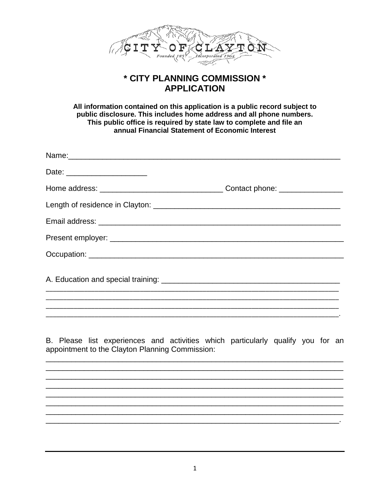

### \* CITY PLANNING COMMISSION \* **APPLICATION**

All information contained on this application is a public record subject to public disclosure. This includes home address and all phone numbers. This public office is required by state law to complete and file an annual Financial Statement of Economic Interest

| Date: _______________________ |  |
|-------------------------------|--|
|                               |  |
|                               |  |
|                               |  |
|                               |  |
|                               |  |
|                               |  |
|                               |  |

B. Please list experiences and activities which particularly qualify you for an appointment to the Clayton Planning Commission: